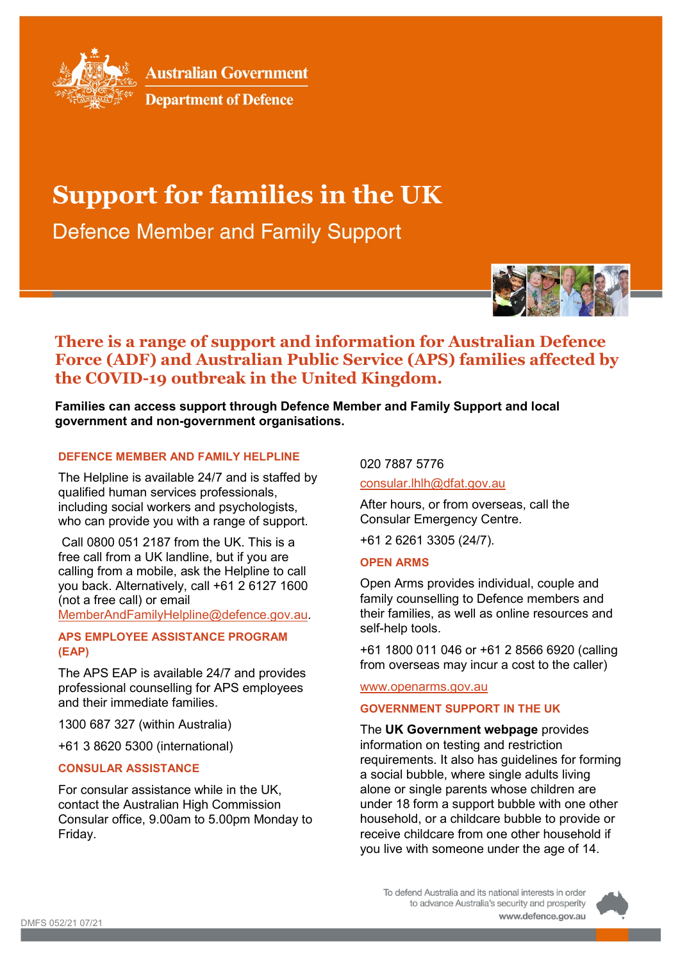

**Australian Government** 



# **Support for families in the UK**

**Defence Member and Family Support** 



## **There is a range of support and information for Australian Defence Force (ADF) and Australian Public Service (APS) families affected by the COVID-19 outbreak in the United Kingdom.**

**Families can access support through Defence Member and Family Support and local government and non-government organisations.**

## **DEFENCE MEMBER AND FAMILY HELPLINE**

The Helpline is available 24/7 and is staffed by qualified human services professionals, including social workers and psychologists, who can provide you with a range of support.

Call 0800 051 2187 from the UK. This is a free call from a UK landline, but if you are calling from a mobile, ask the Helpline to call you back. Alternatively, call +61 2 6127 1600 (not a free call) or email

[MemberAndFamilyHelpline@defence.gov.au.](mailto:MemberAndFamilyHelpline@defence.gov.au)

## **APS EMPLOYEE ASSISTANCE PROGRAM (EAP)**

The APS EAP is available 24/7 and provides professional counselling for APS employees and their immediate families.

1300 687 327 (within Australia)

+61 3 8620 5300 (international)

## **CONSULAR ASSISTANCE**

For consular assistance while in the UK, contact the Australian High Commission Consular office, 9.00am to 5.00pm Monday to Friday.

020 7887 5776

[consular.lhlh@dfat.gov.au](mailto:consular.lhlh@dfat.gov.au)

After hours, or from overseas, call the Consular Emergency Centre.

+61 2 6261 3305 (24/7).

## **OPEN ARMS**

Open Arms provides individual, couple and family counselling to Defence members and their families, as well as online resources and self-help tools.

+61 1800 011 046 or +61 2 8566 6920 (calling from overseas may incur a cost to the caller)

## [www.openarms.gov.au](http://www.openarms.gov.au/)

## **GOVERNMENT SUPPORT IN THE UK**

The **UK Government webpage** provides information on testing and restriction requirements. It also has guidelines for forming a social bubble, where single adults living alone or single parents whose children are under 18 form a support bubble with one other household, or a childcare bubble to provide or receive childcare from one other household if you live with someone under the age of 14.